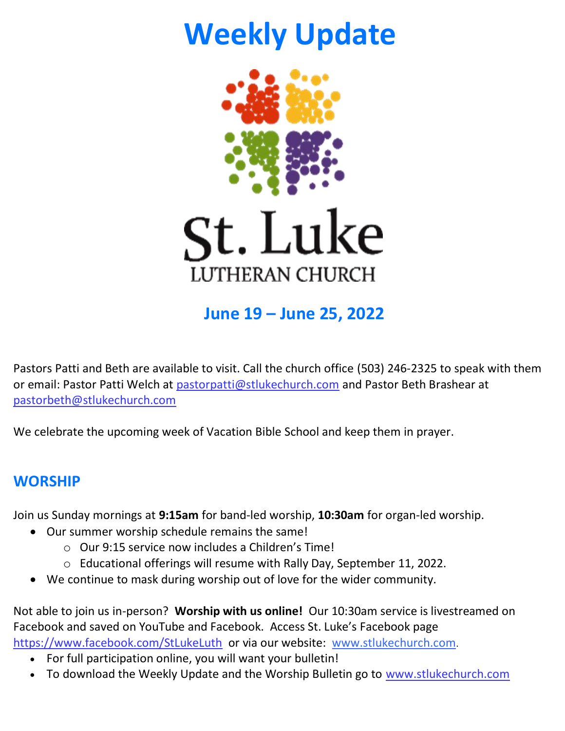# **Weekly Update**



# **June 19 – June 25, 2022**

Pastors Patti and Beth are available to visit. Call the church office (503) 246-2325 to speak with them or email: Pastor Patti Welch at [pastorpatti@stlukechurch.com](mailto:pastorpatti@stlukechurch.com) and Pastor Beth Brashear at [pastorbeth@stlukechurch.com](mailto:pastorbeth@stlukechurch.com) 

We celebrate the upcoming week of Vacation Bible School and keep them in prayer.

# **WORSHIP**

Join us Sunday mornings at **9:15am** for band-led worship, **10:30am** for organ-led worship.

- Our summer worship schedule remains the same!
	- o Our 9:15 service now includes a Children's Time!
	- o Educational offerings will resume with Rally Day, September 11, 2022.
- We continue to mask during worship out of love for the wider community.

Not able to join us in-person? **Worship with us online!** Our 10:30am service is livestreamed on Facebook and saved on YouTube and Facebook. Access St. Luke's Facebook page <https://www.facebook.com/StLukeLuth>or via our website: [www.stlukechurch.com](http://www.stlukechurch.com/).

- For full participation online, you will want your bulletin!
- To download the Weekly Update and the Worship Bulletin go to www.stlukechurch.com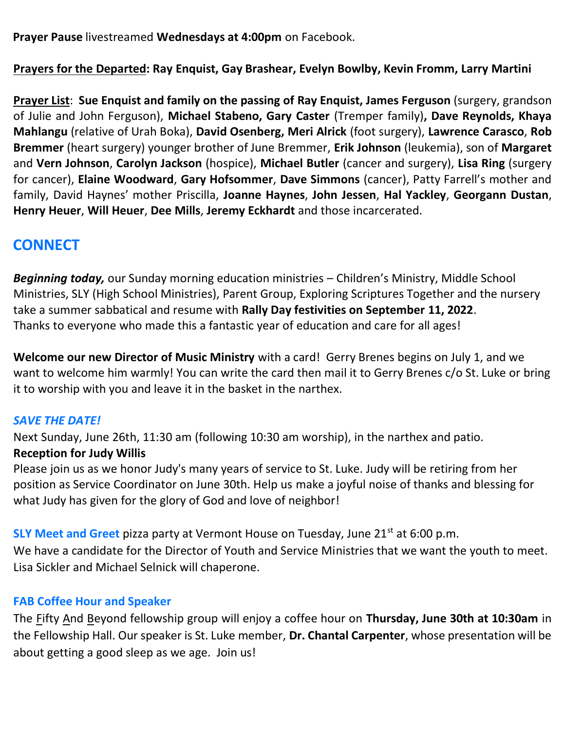**Prayer Pause** livestreamed **Wednesdays at 4:00pm** on Facebook.

**Prayers for the Departed: Ray Enquist, Gay Brashear, Evelyn Bowlby, Kevin Fromm, Larry Martini**

**Prayer List**: **Sue Enquist and family on the passing of Ray Enquist, James Ferguson** (surgery, grandson of Julie and John Ferguson), **Michael Stabeno, Gary Caster** (Tremper family)**, Dave Reynolds, Khaya Mahlangu** (relative of Urah Boka), **David Osenberg, Meri Alrick** (foot surgery), **Lawrence Carasco**, **Rob Bremmer** (heart surgery) younger brother of June Bremmer, **Erik Johnson** (leukemia), son of **Margaret** and **Vern Johnson**, **Carolyn Jackson** (hospice), **Michael Butler** (cancer and surgery), **Lisa Ring** (surgery for cancer), **Elaine Woodward**, **Gary Hofsommer**, **Dave Simmons** (cancer), Patty Farrell's mother and family, David Haynes' mother Priscilla, **Joanne Haynes**, **John Jessen**, **Hal Yackley**, **Georgann Dustan**, **Henry Heuer**, **Will Heuer**, **Dee Mills**, **Jeremy Eckhardt** and those incarcerated.

# **CONNECT**

*Beginning today,* our Sunday morning education ministries – Children's Ministry, Middle School Ministries, SLY (High School Ministries), Parent Group, Exploring Scriptures Together and the nursery take a summer sabbatical and resume with **Rally Day festivities on September 11, 2022**. Thanks to everyone who made this a fantastic year of education and care for all ages!

**Welcome our new Director of Music Ministry** with a card! Gerry Brenes begins on July 1, and we want to welcome him warmly! You can write the card then mail it to Gerry Brenes c/o St. Luke or bring it to worship with you and leave it in the basket in the narthex.

# *SAVE THE DATE!*

Next Sunday, June 26th, 11:30 am (following 10:30 am worship), in the narthex and patio.

## **Reception for Judy Willis**

Please join us as we honor Judy's many years of service to St. Luke. Judy will be retiring from her position as Service Coordinator on June 30th. Help us make a joyful noise of thanks and blessing for what Judy has given for the glory of God and love of neighbor!

**SLY Meet and Greet** pizza party at Vermont House on Tuesday, June 21<sup>st</sup> at 6:00 p.m. We have a candidate for the Director of Youth and Service Ministries that we want the youth to meet. Lisa Sickler and Michael Selnick will chaperone.

## **FAB Coffee Hour and Speaker**

The Fifty And Beyond fellowship group will enjoy a coffee hour on **Thursday, June 30th at 10:30am** in the Fellowship Hall. Our speaker is St. Luke member, **Dr. Chantal Carpenter**, whose presentation will be about getting a good sleep as we age. Join us!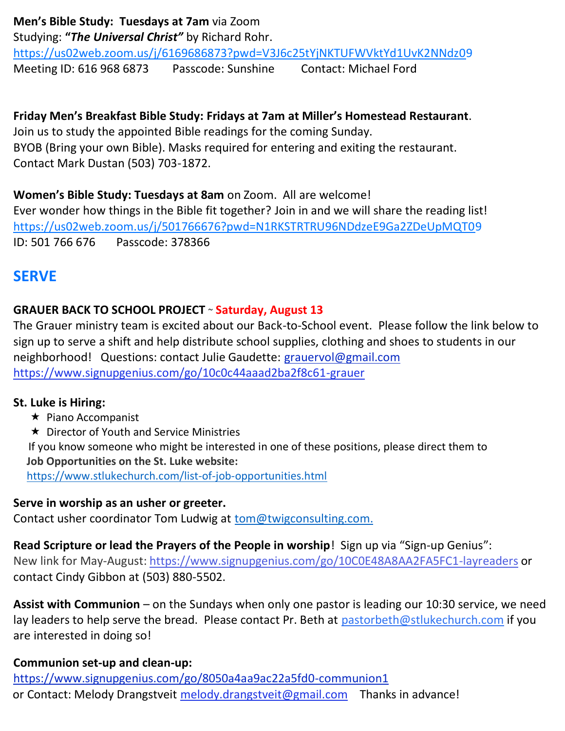## **Men's Bible Study: Tuesdays at 7am** via Zoom

Studying: **"***The Universal Christ"* by Richard Rohr.

<https://us02web.zoom.us/j/6169686873?pwd=V3J6c25tYjNKTUFWVktYd1UvK2NNdz09> Meeting ID: 616 968 6873 Passcode: Sunshine Contact: Michael Ford

**Friday Men's Breakfast Bible Study: Fridays at 7am at Miller's Homestead Restaurant**. Join us to study the appointed Bible readings for the coming Sunday. BYOB (Bring your own Bible). Masks required for entering and exiting the restaurant. Contact Mark Dustan (503) 703-1872.

**Women's Bible Study: Tuesdays at 8am** on Zoom. All are welcome! Ever wonder how things in the Bible fit together? Join in and we will share the reading list! <https://us02web.zoom.us/j/501766676?pwd=N1RKSTRTRU96NDdzeE9Ga2ZDeUpMQT0>[9](https://us02web.zoom.us/j/501766676?pwd=N1RKSTRTRU96NDdzeE9Ga2ZDeUpMQT09) ID: 501 766 676 Passcode: 378366

# **SERVE**

# **GRAUER BACK TO SCHOOL PROJECT** ~ **Saturday, August 13**

The Grauer ministry team is excited about our Back-to-School event. Please follow the link below to sign up to serve a shift and help distribute school supplies, clothing and shoes to students in our neighborhood! Questions: contact Julie Gaudette: [grauervol@gmail.com](mailto:grauervol@gmail.com)  <https://www.signupgenius.com/go/10c0c44aaad2ba2f8c61-grauer>

## **St. Luke is Hiring:**

- $\star$  [Piano Accompanist](https://www.stlukechurch.com/piano-accompanist.html)
- **★ Director of Youth and Service Ministries**

If you know someone who might be interested in one of these positions, please direct them to **Job Opportunities on the St. Luke website:**

<https://www.stlukechurch.com/list-of-job-opportunities.html>

## **Serve in worship as an usher or greeter.**

Contact usher coordinator Tom Ludwig at [tom@twigconsulting.com.](mailto:tom@twigconsulting.com)

**Read Scripture or lead the Prayers of the People in worship**! Sign up via "Sign-up Genius": New link for May-August: <https://www.signupgenius.com/go/10C0E48A8AA2FA5FC1-layreaders> or contact Cindy Gibbon at (503) 880-5502.

**Assist with Communion** – on the Sundays when only one pastor is leading our 10:30 service, we need lay leaders to help serve the bread. Please contact Pr. Beth at [pastorbeth@stlukechurch.com](mailto:pastorbeth@stlukechurch.com) if you are interested in doing so!

# **Communion set-up and clean-up:**

<https://www.signupgenius.com/go/8050a4aa9ac22a5fd0-communion1> or Contact: Melody Drangstveit melody.drangstveit@gmail.com Thanks in advance!